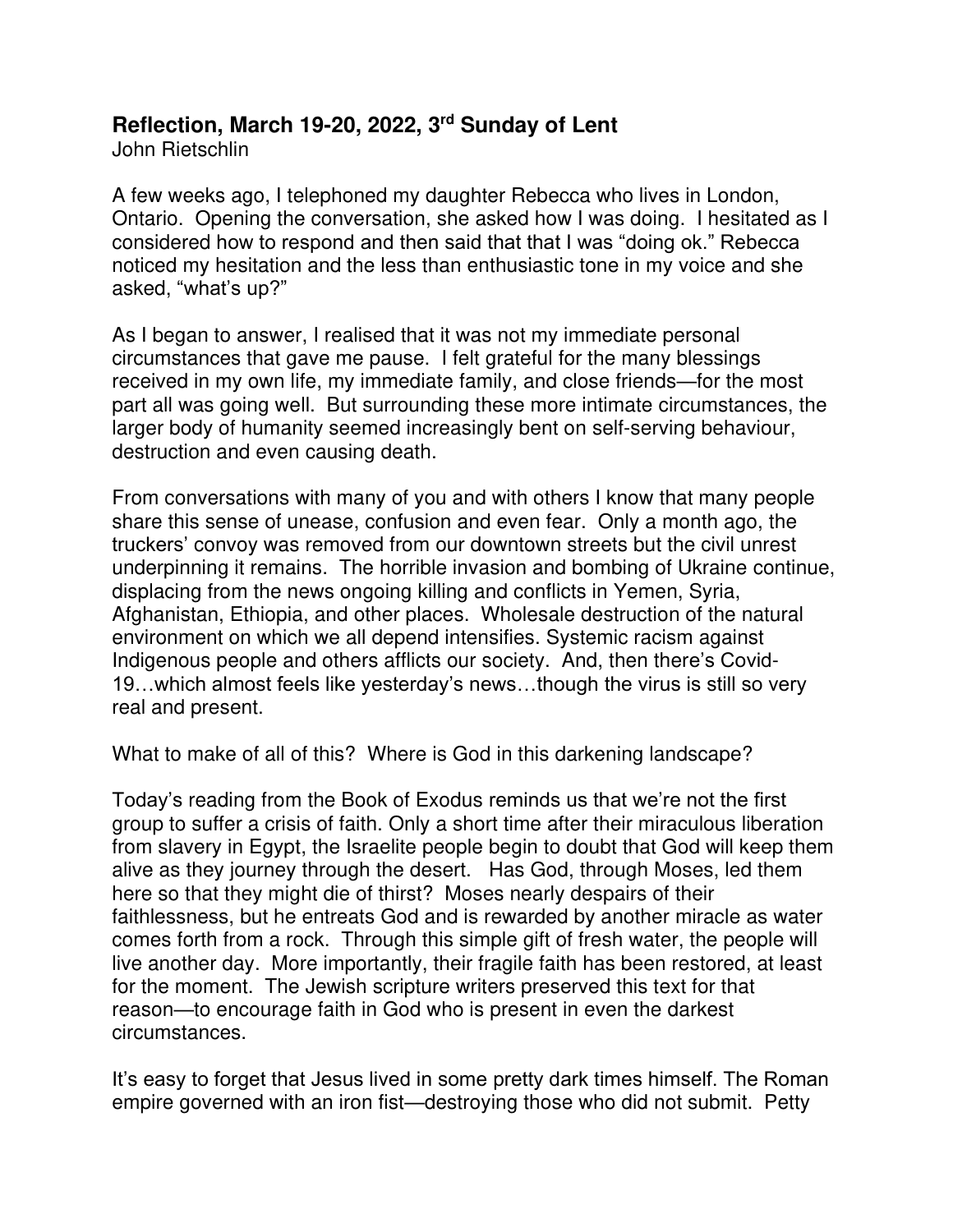## **Reflection, March 19-20, 2022, 3 rd Sunday of Lent**

John Rietschlin

A few weeks ago, I telephoned my daughter Rebecca who lives in London, Ontario. Opening the conversation, she asked how I was doing. I hesitated as I considered how to respond and then said that that I was "doing ok." Rebecca noticed my hesitation and the less than enthusiastic tone in my voice and she asked, "what's up?"

As I began to answer, I realised that it was not my immediate personal circumstances that gave me pause. I felt grateful for the many blessings received in my own life, my immediate family, and close friends—for the most part all was going well. But surrounding these more intimate circumstances, the larger body of humanity seemed increasingly bent on self-serving behaviour, destruction and even causing death.

From conversations with many of you and with others I know that many people share this sense of unease, confusion and even fear. Only a month ago, the truckers' convoy was removed from our downtown streets but the civil unrest underpinning it remains. The horrible invasion and bombing of Ukraine continue, displacing from the news ongoing killing and conflicts in Yemen, Syria, Afghanistan, Ethiopia, and other places. Wholesale destruction of the natural environment on which we all depend intensifies. Systemic racism against Indigenous people and others afflicts our society. And, then there's Covid-19…which almost feels like yesterday's news…though the virus is still so very real and present.

What to make of all of this? Where is God in this darkening landscape?

Today's reading from the Book of Exodus reminds us that we're not the first group to suffer a crisis of faith. Only a short time after their miraculous liberation from slavery in Egypt, the Israelite people begin to doubt that God will keep them alive as they journey through the desert. Has God, through Moses, led them here so that they might die of thirst? Moses nearly despairs of their faithlessness, but he entreats God and is rewarded by another miracle as water comes forth from a rock. Through this simple gift of fresh water, the people will live another day. More importantly, their fragile faith has been restored, at least for the moment. The Jewish scripture writers preserved this text for that reason—to encourage faith in God who is present in even the darkest circumstances.

It's easy to forget that Jesus lived in some pretty dark times himself. The Roman empire governed with an iron fist—destroying those who did not submit. Petty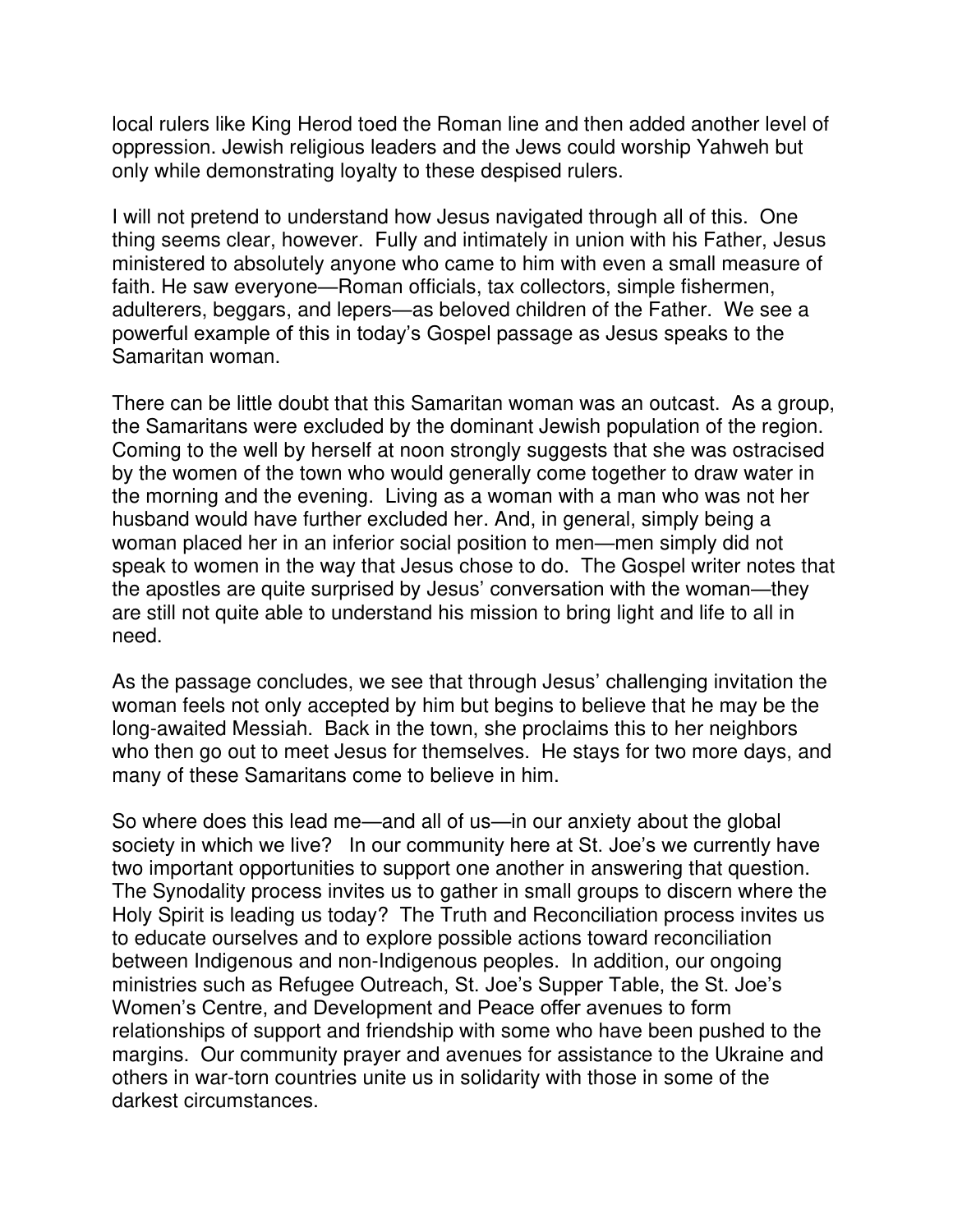local rulers like King Herod toed the Roman line and then added another level of oppression. Jewish religious leaders and the Jews could worship Yahweh but only while demonstrating loyalty to these despised rulers.

I will not pretend to understand how Jesus navigated through all of this. One thing seems clear, however. Fully and intimately in union with his Father, Jesus ministered to absolutely anyone who came to him with even a small measure of faith. He saw everyone—Roman officials, tax collectors, simple fishermen, adulterers, beggars, and lepers—as beloved children of the Father. We see a powerful example of this in today's Gospel passage as Jesus speaks to the Samaritan woman.

There can be little doubt that this Samaritan woman was an outcast. As a group, the Samaritans were excluded by the dominant Jewish population of the region. Coming to the well by herself at noon strongly suggests that she was ostracised by the women of the town who would generally come together to draw water in the morning and the evening. Living as a woman with a man who was not her husband would have further excluded her. And, in general, simply being a woman placed her in an inferior social position to men—men simply did not speak to women in the way that Jesus chose to do. The Gospel writer notes that the apostles are quite surprised by Jesus' conversation with the woman—they are still not quite able to understand his mission to bring light and life to all in need.

As the passage concludes, we see that through Jesus' challenging invitation the woman feels not only accepted by him but begins to believe that he may be the long-awaited Messiah. Back in the town, she proclaims this to her neighbors who then go out to meet Jesus for themselves. He stays for two more days, and many of these Samaritans come to believe in him.

So where does this lead me—and all of us—in our anxiety about the global society in which we live? In our community here at St. Joe's we currently have two important opportunities to support one another in answering that question. The Synodality process invites us to gather in small groups to discern where the Holy Spirit is leading us today? The Truth and Reconciliation process invites us to educate ourselves and to explore possible actions toward reconciliation between Indigenous and non-Indigenous peoples. In addition, our ongoing ministries such as Refugee Outreach, St. Joe's Supper Table, the St. Joe's Women's Centre, and Development and Peace offer avenues to form relationships of support and friendship with some who have been pushed to the margins. Our community prayer and avenues for assistance to the Ukraine and others in war-torn countries unite us in solidarity with those in some of the darkest circumstances.